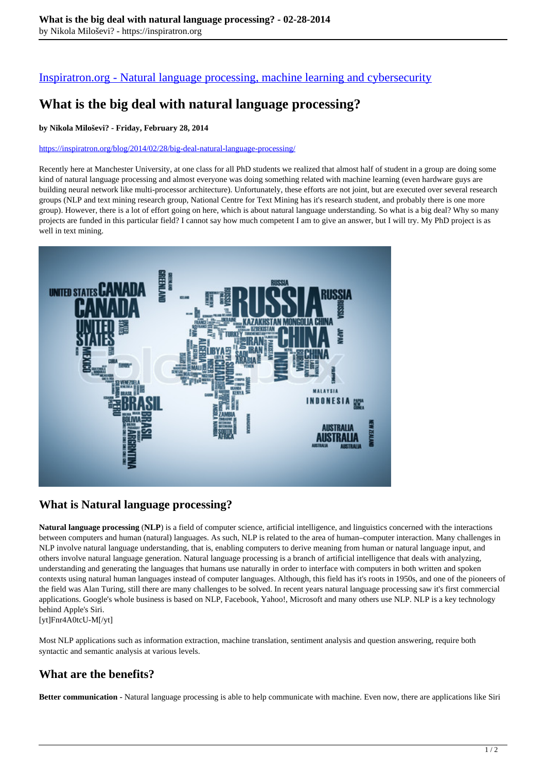[Inspiratron.org - Natural language processing, machine learning and cybersecurity](https://inspiratron.org)

# **What is the big deal with natural language processing?**

#### **by Nikola Miloševi? - Friday, February 28, 2014**

#### https://inspiratron.org/blog/2014/02/28/big-deal-natural-language-processing/

Recently here at Manchester University, at one class for all PhD students we realized that almost half of student in a group are doing some kind of natural language processing and almost everyone was doing something related with machine learning (even hardware guys are building neural network like multi-processor architecture). Unfortunately, these efforts are not joint, but are executed over several research groups (NLP and text mining research group, National Centre for Text Mining has it's research student, and probably there is one more group). However, there is a lot of effort going on here, which is about natural language understanding. So what is a big deal? Why so many projects are funded in this particular field? I cannot say how much competent I am to give an answer, but I will try. My PhD project is as well in text mining.



### **What is Natural language processing?**

**Natural language processing** (**NLP**) is a field of computer science, artificial intelligence, and linguistics concerned with the interactions between computers and human (natural) languages. As such, NLP is related to the area of human–computer interaction. Many challenges in NLP involve natural language understanding, that is, enabling computers to derive meaning from human or natural language input, and others involve natural language generation. Natural language processing is a branch of artificial intelligence that deals with analyzing, understanding and generating the languages that humans use naturally in order to interface with computers in both written and spoken contexts using natural human languages instead of computer languages. Although, this field has it's roots in 1950s, and one of the pioneers of the field was Alan Turing, still there are many challenges to be solved. In recent years natural language processing saw it's first commercial applications. Google's whole business is based on NLP, Facebook, Yahoo!, Microsoft and many others use NLP. NLP is a key technology behind Apple's Siri.

[yt]Fnr4A0tcU-M[/yt]

Most NLP applications such as information extraction, machine translation, sentiment analysis and question answering, require both syntactic and semantic analysis at various levels.

## **What are the benefits?**

**Better communication -** Natural language processing is able to help communicate with machine. Even now, there are applications like Siri